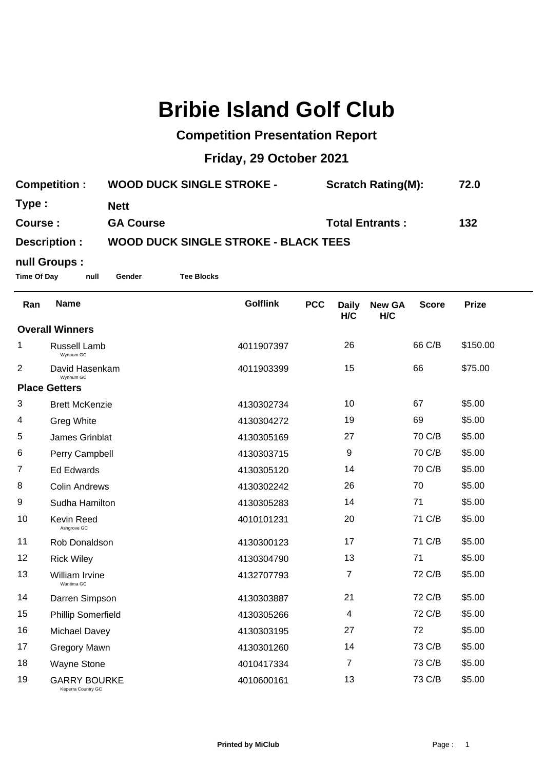## **Bribie Island Golf Club**

## **Competition Presentation Report**

## **Friday, 29 October 2021**

| <b>Competition:</b> | <b>WOOD DUCK SINGLE STROKE -</b>            | <b>Scratch Rating(M):</b> | 72.0 |  |  |  |  |
|---------------------|---------------------------------------------|---------------------------|------|--|--|--|--|
| Type :              | <b>Nett</b>                                 |                           |      |  |  |  |  |
| Course:             | <b>GA Course</b>                            | <b>Total Entrants:</b>    | 132  |  |  |  |  |
| Description :       | <b>WOOD DUCK SINGLE STROKE - BLACK TEES</b> |                           |      |  |  |  |  |

## **null Groups :**

**Time Of Day null Gender Tee Blocks**

| Ran                    | <b>Name</b>                               | <b>Golflink</b> | <b>PCC</b> | <b>Daily</b><br>H/C | <b>New GA</b><br>H/C | <b>Score</b> | <b>Prize</b> |
|------------------------|-------------------------------------------|-----------------|------------|---------------------|----------------------|--------------|--------------|
| <b>Overall Winners</b> |                                           |                 |            |                     |                      |              |              |
| 1                      | <b>Russell Lamb</b><br>Wynnum GC          | 4011907397      |            | 26                  |                      | 66 C/B       | \$150.00     |
| $\overline{2}$         | David Hasenkam<br>Wynnum GC               | 4011903399      |            | 15                  |                      | 66           | \$75.00      |
| <b>Place Getters</b>   |                                           |                 |            |                     |                      |              |              |
| 3                      | <b>Brett McKenzie</b>                     | 4130302734      |            | 10                  |                      | 67           | \$5.00       |
| 4                      | <b>Greg White</b>                         | 4130304272      |            | 19                  |                      | 69           | \$5.00       |
| 5                      | James Grinblat                            | 4130305169      |            | 27                  |                      | 70 C/B       | \$5.00       |
| 6                      | Perry Campbell                            | 4130303715      |            | 9                   |                      | 70 C/B       | \$5.00       |
| 7                      | <b>Ed Edwards</b>                         | 4130305120      |            | 14                  |                      | 70 C/B       | \$5.00       |
| 8                      | <b>Colin Andrews</b>                      | 4130302242      |            | 26                  |                      | 70           | \$5.00       |
| 9                      | Sudha Hamilton                            | 4130305283      |            | 14                  |                      | 71           | \$5.00       |
| 10                     | Kevin Reed<br>Ashgrove GC                 | 4010101231      |            | 20                  |                      | 71 C/B       | \$5.00       |
| 11                     | Rob Donaldson                             | 4130300123      |            | 17                  |                      | 71 C/B       | \$5.00       |
| 12                     | <b>Rick Wiley</b>                         | 4130304790      |            | 13                  |                      | 71           | \$5.00       |
| 13                     | William Irvine<br>Wantima GC              | 4132707793      |            | $\overline{7}$      |                      | 72 C/B       | \$5.00       |
| 14                     | Darren Simpson                            | 4130303887      |            | 21                  |                      | 72 C/B       | \$5.00       |
| 15                     | <b>Phillip Somerfield</b>                 | 4130305266      |            | 4                   |                      | 72 C/B       | \$5.00       |
| 16                     | Michael Davey                             | 4130303195      |            | 27                  |                      | 72           | \$5.00       |
| 17                     | Gregory Mawn                              | 4130301260      |            | 14                  |                      | 73 C/B       | \$5.00       |
| 18                     | <b>Wayne Stone</b>                        | 4010417334      |            | 7                   |                      | 73 C/B       | \$5.00       |
| 19                     | <b>GARRY BOURKE</b><br>Keperra Country GC | 4010600161      |            | 13                  |                      | 73 C/B       | \$5.00       |